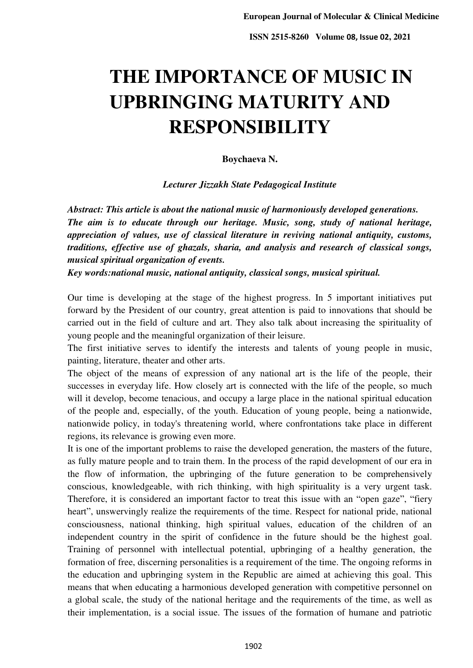# **THE IMPORTANCE OF MUSIC IN UPBRINGING MATURITY AND RESPONSIBILITY**

**Boychaeva N.** 

*Lecturer Jizzakh State Pedagogical Institute* 

*Abstract: This article is about the national music of harmoniously developed generations. The aim is to educate through our heritage. Music, song, study of national heritage, appreciation of values, use of classical literature in reviving national antiquity, customs, traditions, effective use of ghazals, sharia, and analysis and research of classical songs, musical spiritual organization of events.* 

*Key words:national music, national antiquity, classical songs, musical spiritual.* 

Our time is developing at the stage of the highest progress. In 5 important initiatives put forward by the President of our country, great attention is paid to innovations that should be carried out in the field of culture and art. They also talk about increasing the spirituality of young people and the meaningful organization of their leisure.

The first initiative serves to identify the interests and talents of young people in music, painting, literature, theater and other arts.

The object of the means of expression of any national art is the life of the people, their successes in everyday life. How closely art is connected with the life of the people, so much will it develop, become tenacious, and occupy a large place in the national spiritual education of the people and, especially, of the youth. Education of young people, being a nationwide, nationwide policy, in today's threatening world, where confrontations take place in different regions, its relevance is growing even more.

It is one of the important problems to raise the developed generation, the masters of the future, as fully mature people and to train them. In the process of the rapid development of our era in the flow of information, the upbringing of the future generation to be comprehensively conscious, knowledgeable, with rich thinking, with high spirituality is a very urgent task. Therefore, it is considered an important factor to treat this issue with an "open gaze", "fiery heart", unswervingly realize the requirements of the time. Respect for national pride, national consciousness, national thinking, high spiritual values, education of the children of an independent country in the spirit of confidence in the future should be the highest goal. Training of personnel with intellectual potential, upbringing of a healthy generation, the formation of free, discerning personalities is a requirement of the time. The ongoing reforms in the education and upbringing system in the Republic are aimed at achieving this goal. This means that when educating a harmonious developed generation with competitive personnel on a global scale, the study of the national heritage and the requirements of the time, as well as their implementation, is a social issue. The issues of the formation of humane and patriotic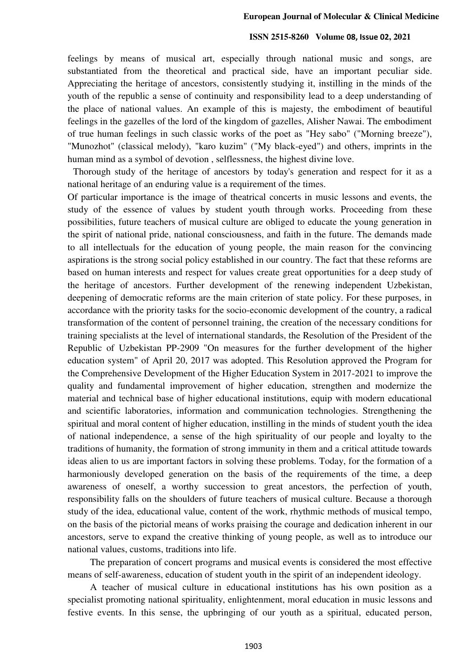#### **ISSN 2515-8260 Volume 08, Issue 02, 2021**

feelings by means of musical art, especially through national music and songs, are substantiated from the theoretical and practical side, have an important peculiar side. Appreciating the heritage of ancestors, consistently studying it, instilling in the minds of the youth of the republic a sense of continuity and responsibility lead to a deep understanding of the place of national values. An example of this is majesty, the embodiment of beautiful feelings in the gazelles of the lord of the kingdom of gazelles, Alisher Nawai. The embodiment of true human feelings in such classic works of the poet as "Hey sabo" ("Morning breeze"), "Munozhot" (classical melody), "karo kuzim" ("My black-eyed") and others, imprints in the human mind as a symbol of devotion , selflessness, the highest divine love.

 Thorough study of the heritage of ancestors by today's generation and respect for it as a national heritage of an enduring value is a requirement of the times.

Of particular importance is the image of theatrical concerts in music lessons and events, the study of the essence of values by student youth through works. Proceeding from these possibilities, future teachers of musical culture are obliged to educate the young generation in the spirit of national pride, national consciousness, and faith in the future. The demands made to all intellectuals for the education of young people, the main reason for the convincing aspirations is the strong social policy established in our country. The fact that these reforms are based on human interests and respect for values create great opportunities for a deep study of the heritage of ancestors. Further development of the renewing independent Uzbekistan, deepening of democratic reforms are the main criterion of state policy. For these purposes, in accordance with the priority tasks for the socio-economic development of the country, a radical transformation of the content of personnel training, the creation of the necessary conditions for training specialists at the level of international standards, the Resolution of the President of the Republic of Uzbekistan PP-2909 "On measures for the further development of the higher education system" of April 20, 2017 was adopted. This Resolution approved the Program for the Comprehensive Development of the Higher Education System in 2017-2021 to improve the quality and fundamental improvement of higher education, strengthen and modernize the material and technical base of higher educational institutions, equip with modern educational and scientific laboratories, information and communication technologies. Strengthening the spiritual and moral content of higher education, instilling in the minds of student youth the idea of national independence, a sense of the high spirituality of our people and loyalty to the traditions of humanity, the formation of strong immunity in them and a critical attitude towards ideas alien to us are important factors in solving these problems. Today, for the formation of a harmoniously developed generation on the basis of the requirements of the time, a deep awareness of oneself, a worthy succession to great ancestors, the perfection of youth, responsibility falls on the shoulders of future teachers of musical culture. Because a thorough study of the idea, educational value, content of the work, rhythmic methods of musical tempo, on the basis of the pictorial means of works praising the courage and dedication inherent in our ancestors, serve to expand the creative thinking of young people, as well as to introduce our national values, customs, traditions into life.

The preparation of concert programs and musical events is considered the most effective means of self-awareness, education of student youth in the spirit of an independent ideology.

A teacher of musical culture in educational institutions has his own position as a specialist promoting national spirituality, enlightenment, moral education in music lessons and festive events. In this sense, the upbringing of our youth as a spiritual, educated person,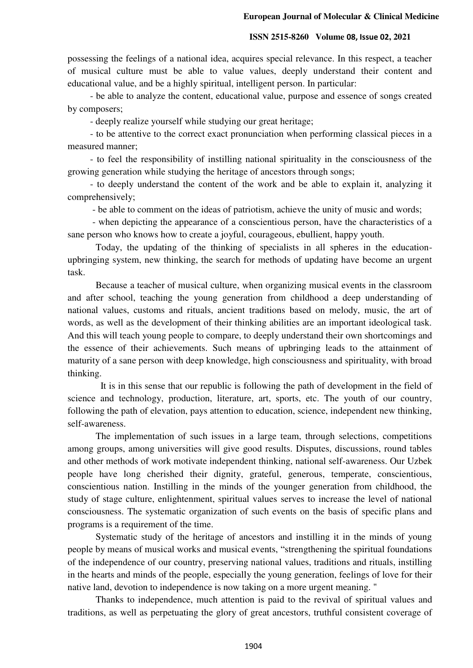### **ISSN 2515-8260 Volume 08, Issue 02, 2021**

possessing the feelings of a national idea, acquires special relevance. In this respect, a teacher of musical culture must be able to value values, deeply understand their content and educational value, and be a highly spiritual, intelligent person. In particular:

- be able to analyze the content, educational value, purpose and essence of songs created by composers;

- deeply realize yourself while studying our great heritage;

- to be attentive to the correct exact pronunciation when performing classical pieces in a measured manner;

- to feel the responsibility of instilling national spirituality in the consciousness of the growing generation while studying the heritage of ancestors through songs;

- to deeply understand the content of the work and be able to explain it, analyzing it comprehensively;

- be able to comment on the ideas of patriotism, achieve the unity of music and words;

 - when depicting the appearance of a conscientious person, have the characteristics of a sane person who knows how to create a joyful, courageous, ebullient, happy youth.

Today, the updating of the thinking of specialists in all spheres in the educationupbringing system, new thinking, the search for methods of updating have become an urgent task.

Because a teacher of musical culture, when organizing musical events in the classroom and after school, teaching the young generation from childhood a deep understanding of national values, customs and rituals, ancient traditions based on melody, music, the art of words, as well as the development of their thinking abilities are an important ideological task. And this will teach young people to compare, to deeply understand their own shortcomings and the essence of their achievements. Such means of upbringing leads to the attainment of maturity of a sane person with deep knowledge, high consciousness and spirituality, with broad thinking.

 It is in this sense that our republic is following the path of development in the field of science and technology, production, literature, art, sports, etc. The youth of our country, following the path of elevation, pays attention to education, science, independent new thinking, self-awareness.

The implementation of such issues in a large team, through selections, competitions among groups, among universities will give good results. Disputes, discussions, round tables and other methods of work motivate independent thinking, national self-awareness. Our Uzbek people have long cherished their dignity, grateful, generous, temperate, conscientious, conscientious nation. Instilling in the minds of the younger generation from childhood, the study of stage culture, enlightenment, spiritual values serves to increase the level of national consciousness. The systematic organization of such events on the basis of specific plans and programs is a requirement of the time.

Systematic study of the heritage of ancestors and instilling it in the minds of young people by means of musical works and musical events, "strengthening the spiritual foundations of the independence of our country, preserving national values, traditions and rituals, instilling in the hearts and minds of the people, especially the young generation, feelings of love for their native land, devotion to independence is now taking on a more urgent meaning. "

 Thanks to independence, much attention is paid to the revival of spiritual values and traditions, as well as perpetuating the glory of great ancestors, truthful consistent coverage of